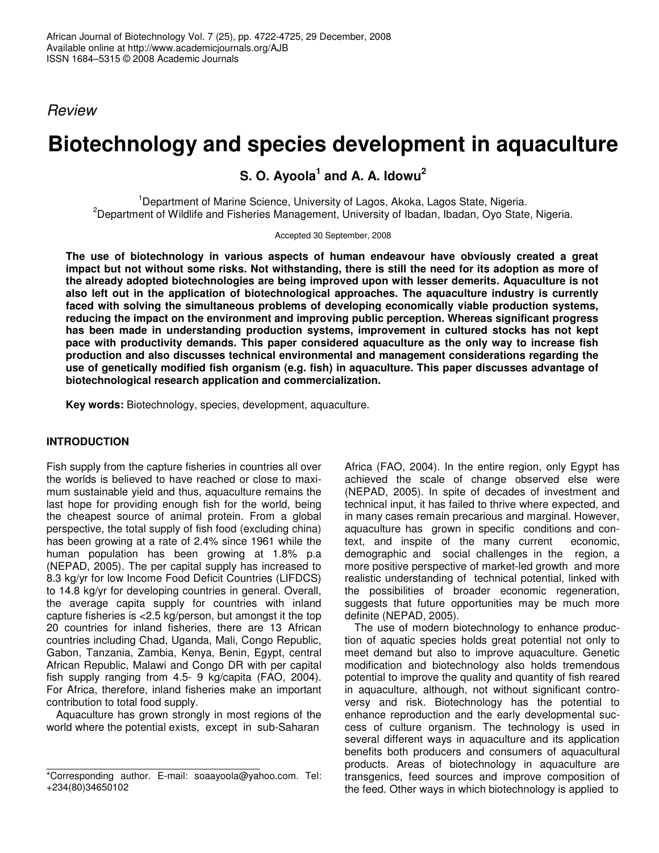*Review*

# **Biotechnology and species development in aquaculture**

 $\mathbf S$ . O. Ayoola $^1$  and A. A. Idowu $^2$ 

<sup>1</sup>Department of Marine Science, University of Lagos, Akoka, Lagos State, Nigeria. <sup>2</sup>Department of Wildlife and Fisheries Management, University of Ibadan, Ibadan, Oyo State, Nigeria.

Accepted 30 September, 2008

**The use of biotechnology in various aspects of human endeavour have obviously created a great** impact but not without some risks. Not withstanding, there is still the need for its adoption as more of **the already adopted biotechnologies are being improved upon with lesser demerits. Aquaculture is not also left out in the application of biotechnological approaches. The aquaculture industry is currently faced with solving the simultaneous problems of developing economically viable production systems, reducing the impact on the environment and improving public perception. Whereas significant progress has been made in understanding production systems, improvement in cultured stocks has not kept pace with productivity demands. This paper considered aquaculture as the only way to increase fish production and also discusses technical environmental and management considerations regarding the use of genetically modified fish organism (e.g. fish) in aquaculture. This paper discusses advantage of biotechnological research application and commercialization.**

**Key words:** Biotechnology, species, development, aquaculture.

# **INTRODUCTION**

Fish supply from the capture fisheries in countries all over the worlds is believed to have reached or close to maximum sustainable yield and thus, aquaculture remains the last hope for providing enough fish for the world, being the cheapest source of animal protein. From a global perspective, the total supply of fish food (excluding china) has been growing at a rate of 2.4% since 1961 while the human population has been growing at 1.8% p.a (NEPAD, 2005). The per capital supply has increased to 8.3 kg/yr for low Income Food Deficit Countries (LIFDCS) to 14.8 kg/yr for developing countries in general. Overall, the average capita supply for countries with inland capture fisheries is <2.5 kg/person, but amongst it the top 20 countries for inland fisheries, there are 13 African countries including Chad, Uganda, Mali, Congo Republic, Gabon, Tanzania, Zambia, Kenya, Benin, Egypt, central African Republic, Malawi and Congo DR with per capital fish supply ranging from 4.5- 9 kg/capita (FAO, 2004). For Africa, therefore, inland fisheries make an important contribution to total food supply.

Aquaculture has grown strongly in most regions of the world where the potential exists, except in sub-Saharan

Africa (FAO, 2004). In the entire region, only Egypt has achieved the scale of change observed else were (NEPAD, 2005). In spite of decades of investment and technical input, it has failed to thrive where expected, and in many cases remain precarious and marginal. However, aquaculture has grown in specific conditions and context, and inspite of the many current economic, demographic and social challenges in the region, a more positive perspective of market-led growth and more realistic understanding of technical potential, linked with the possibilities of broader economic regeneration, suggests that future opportunities may be much more definite (NEPAD, 2005).

The use of modern biotechnology to enhance production of aquatic species holds great potential not only to meet demand but also to improve aquaculture. Genetic modification and biotechnology also holds tremendous potential to improve the quality and quantity of fish reared in aquaculture, although, not without significant controversy and risk. Biotechnology has the potential to enhance reproduction and the early developmental success of culture organism. The technology is used in several different ways in aquaculture and its application benefits both producers and consumers of aquacultural products. Areas of biotechnology in aquaculture are transgenics, feed sources and improve composition of the feed. Other ways in which biotechnology is applied to

<sup>\*</sup>Corresponding author. E-mail: soaayoola@yahoo.com. Tel: +234(80)34650102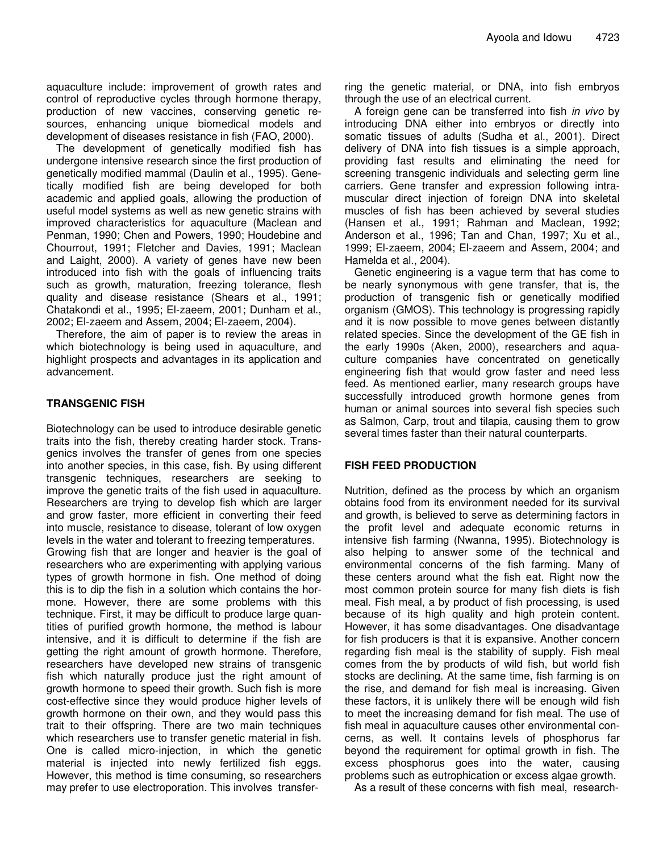aquaculture include: improvement of growth rates and control of reproductive cycles through hormone therapy, production of new vaccines, conserving genetic resources, enhancing unique biomedical models and development of diseases resistance in fish (FAO, 2000).

The development of genetically modified fish has undergone intensive research since the first production of genetically modified mammal (Daulin et al., 1995). Genetically modified fish are being developed for both academic and applied goals, allowing the production of useful model systems as well as new genetic strains with improved characteristics for aquaculture (Maclean and Penman, 1990; Chen and Powers, 1990; Houdebine and Chourrout, 1991; Fletcher and Davies, 1991; Maclean and Laight, 2000). A variety of genes have new been introduced into fish with the goals of influencing traits such as growth, maturation, freezing tolerance, flesh quality and disease resistance (Shears et al., 1991; Chatakondi et al., 1995; El-zaeem, 2001; Dunham et al., 2002; El-zaeem and Assem, 2004; El-zaeem, 2004).

Therefore, the aim of paper is to review the areas in which biotechnology is being used in aquaculture, and highlight prospects and advantages in its application and advancement.

#### **TRANSGENIC FISH**

Biotechnology can be used to introduce desirable genetic traits into the fish, thereby creating harder stock. Transgenics involves the transfer of genes from one species into another species, in this case, fish. By using different transgenic techniques, researchers are seeking to improve the genetic traits of the fish used in aquaculture. Researchers are trying to develop fish which are larger and grow faster, more efficient in converting their feed into muscle, resistance to disease, tolerant of low oxygen levels in the water and tolerant to freezing temperatures.

Growing fish that are longer and heavier is the goal of researchers who are experimenting with applying various types of growth hormone in fish. One method of doing this is to dip the fish in a solution which contains the hormone. However, there are some problems with this technique. First, it may be difficult to produce large quantities of purified growth hormone, the method is labour intensive, and it is difficult to determine if the fish are getting the right amount of growth hormone. Therefore, researchers have developed new strains of transgenic fish which naturally produce just the right amount of growth hormone to speed their growth. Such fish is more cost-effective since they would produce higher levels of growth hormone on their own, and they would pass this trait to their offspring. There are two main techniques which researchers use to transfer genetic material in fish. One is called micro-injection, in which the genetic material is injected into newly fertilized fish eggs. However, this method is time consuming, so researchers may prefer to use electroporation. This involves transferring the genetic material, or DNA, into fish embryos through the use of an electrical current.

A foreign gene can be transferred into fish *in vivo* by introducing DNA either into embryos or directly into somatic tissues of adults (Sudha et al., 2001). Direct delivery of DNA into fish tissues is a simple approach, providing fast results and eliminating the need for screening transgenic individuals and selecting germ line carriers. Gene transfer and expression following intramuscular direct injection of foreign DNA into skeletal muscles of fish has been achieved by several studies (Hansen et al., 1991; Rahman and Maclean, 1992; Anderson et al., 1996; Tan and Chan, 1997; Xu et al., 1999; El-zaeem, 2004; El-zaeem and Assem, 2004; and Hamelda et al., 2004).

Genetic engineering is a vague term that has come to be nearly synonymous with gene transfer, that is, the production of transgenic fish or genetically modified organism (GMOS). This technology is progressing rapidly and it is now possible to move genes between distantly related species. Since the development of the GE fish in the early 1990s (Aken, 2000), researchers and aquaculture companies have concentrated on genetically engineering fish that would grow faster and need less feed. As mentioned earlier, many research groups have successfully introduced growth hormone genes from human or animal sources into several fish species such as Salmon, Carp, trout and tilapia, causing them to grow several times faster than their natural counterparts.

#### **FISH FEED PRODUCTION**

Nutrition, defined as the process by which an organism obtains food from its environment needed for its survival and growth, is believed to serve as determining factors in the profit level and adequate economic returns in intensive fish farming (Nwanna, 1995). Biotechnology is also helping to answer some of the technical and environmental concerns of the fish farming. Many of these centers around what the fish eat. Right now the most common protein source for many fish diets is fish meal. Fish meal, a by product of fish processing, is used because of its high quality and high protein content. However, it has some disadvantages. One disadvantage for fish producers is that it is expansive. Another concern regarding fish meal is the stability of supply. Fish meal comes from the by products of wild fish, but world fish stocks are declining. At the same time, fish farming is on the rise, and demand for fish meal is increasing. Given these factors, it is unlikely there will be enough wild fish to meet the increasing demand for fish meal. The use of fish meal in aquaculture causes other environmental concerns, as well. It contains levels of phosphorus far beyond the requirement for optimal growth in fish. The excess phosphorus goes into the water, causing problems such as eutrophication or excess algae growth.

As a result of these concerns with fish meal, research-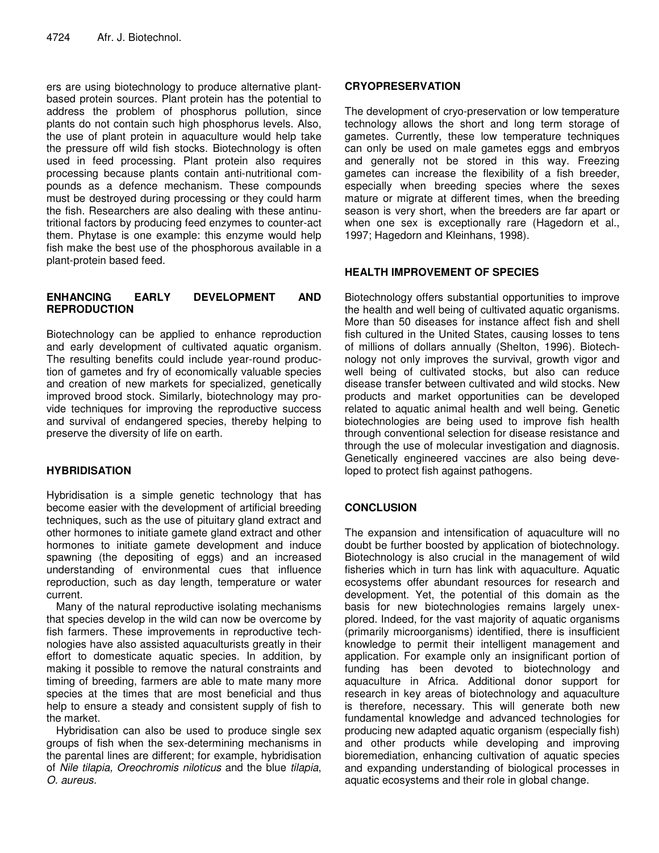ers are using biotechnology to produce alternative plantbased protein sources. Plant protein has the potential to address the problem of phosphorus pollution, since plants do not contain such high phosphorus levels. Also, the use of plant protein in aquaculture would help take the pressure off wild fish stocks. Biotechnology is often used in feed processing. Plant protein also requires processing because plants contain anti-nutritional compounds as a defence mechanism. These compounds must be destroyed during processing or they could harm the fish. Researchers are also dealing with these antinutritional factors by producing feed enzymes to counter-act them. Phytase is one example: this enzyme would help fish make the best use of the phosphorous available in a plant-protein based feed.

#### **ENHANCING EARLY DEVELOPMENT AND REPRODUCTION**

Biotechnology can be applied to enhance reproduction and early development of cultivated aquatic organism. The resulting benefits could include year-round production of gametes and fry of economically valuable species and creation of new markets for specialized, genetically improved brood stock. Similarly, biotechnology may provide techniques for improving the reproductive success and survival of endangered species, thereby helping to preserve the diversity of life on earth.

#### **HYBRIDISATION**

Hybridisation is a simple genetic technology that has become easier with the development of artificial breeding techniques, such as the use of pituitary gland extract and other hormones to initiate gamete gland extract and other hormones to initiate gamete development and induce spawning (the depositing of eggs) and an increased understanding of environmental cues that influence reproduction, such as day length, temperature or water current.

Many of the natural reproductive isolating mechanisms that species develop in the wild can now be overcome by fish farmers. These improvements in reproductive technologies have also assisted aquaculturists greatly in their effort to domesticate aquatic species. In addition, by making it possible to remove the natural constraints and timing of breeding, farmers are able to mate many more species at the times that are most beneficial and thus help to ensure a steady and consistent supply of fish to the market.

Hybridisation can also be used to produce single sex groups of fish when the sex-determining mechanisms in the parental lines are different; for example, hybridisation of *Nile tilapia, Oreochromis niloticus* and the blue *tilapia*, *O. aureus.*

#### **CRYOPRESERVATION**

The development of cryo-preservation or low temperature technology allows the short and long term storage of gametes. Currently, these low temperature techniques can only be used on male gametes eggs and embryos and generally not be stored in this way. Freezing gametes can increase the flexibility of a fish breeder, especially when breeding species where the sexes mature or migrate at different times, when the breeding season is very short, when the breeders are far apart or when one sex is exceptionally rare (Hagedorn et al., 1997; Hagedorn and Kleinhans, 1998).

### **HEALTH IMPROVEMENT OF SPECIES**

Biotechnology offers substantial opportunities to improve the health and well being of cultivated aquatic organisms. More than 50 diseases for instance affect fish and shell fish cultured in the United States, causing losses to tens of millions of dollars annually (Shelton, 1996). Biotechnology not only improves the survival, growth vigor and well being of cultivated stocks, but also can reduce disease transfer between cultivated and wild stocks. New products and market opportunities can be developed related to aquatic animal health and well being. Genetic biotechnologies are being used to improve fish health through conventional selection for disease resistance and through the use of molecular investigation and diagnosis. Genetically engineered vaccines are also being developed to protect fish against pathogens.

# **CONCLUSION**

The expansion and intensification of aquaculture will no doubt be further boosted by application of biotechnology. Biotechnology is also crucial in the management of wild fisheries which in turn has link with aquaculture. Aquatic ecosystems offer abundant resources for research and development. Yet, the potential of this domain as the basis for new biotechnologies remains largely unexplored. Indeed, for the vast majority of aquatic organisms (primarily microorganisms) identified, there is insufficient knowledge to permit their intelligent management and application. For example only an insignificant portion of funding has been devoted to biotechnology and aquaculture in Africa. Additional donor support for research in key areas of biotechnology and aquaculture is therefore, necessary. This will generate both new fundamental knowledge and advanced technologies for producing new adapted aquatic organism (especially fish) and other products while developing and improving bioremediation, enhancing cultivation of aquatic species and expanding understanding of biological processes in aquatic ecosystems and their role in global change.